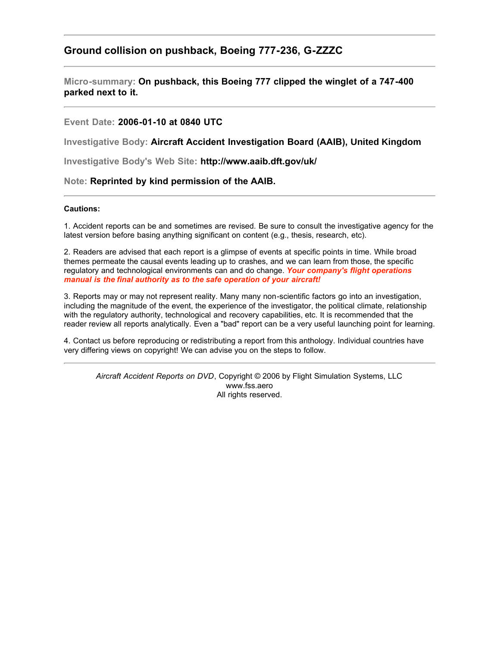# **Ground collision on pushback, Boeing 777-236, G-ZZZC**

**Micro-summary: On pushback, this Boeing 777 clipped the winglet of a 747-400 parked next to it.**

## **Event Date: 2006-01-10 at 0840 UTC**

**Investigative Body: Aircraft Accident Investigation Board (AAIB), United Kingdom**

**Investigative Body's Web Site: http://www.aaib.dft.gov/uk/**

## **Note: Reprinted by kind permission of the AAIB.**

#### **Cautions:**

1. Accident reports can be and sometimes are revised. Be sure to consult the investigative agency for the latest version before basing anything significant on content (e.g., thesis, research, etc).

2. Readers are advised that each report is a glimpse of events at specific points in time. While broad themes permeate the causal events leading up to crashes, and we can learn from those, the specific regulatory and technological environments can and do change. *Your company's flight operations manual is the final authority as to the safe operation of your aircraft!*

3. Reports may or may not represent reality. Many many non-scientific factors go into an investigation, including the magnitude of the event, the experience of the investigator, the political climate, relationship with the regulatory authority, technological and recovery capabilities, etc. It is recommended that the reader review all reports analytically. Even a "bad" report can be a very useful launching point for learning.

4. Contact us before reproducing or redistributing a report from this anthology. Individual countries have very differing views on copyright! We can advise you on the steps to follow.

*Aircraft Accident Reports on DVD*, Copyright © 2006 by Flight Simulation Systems, LLC www.fss.aero All rights reserved.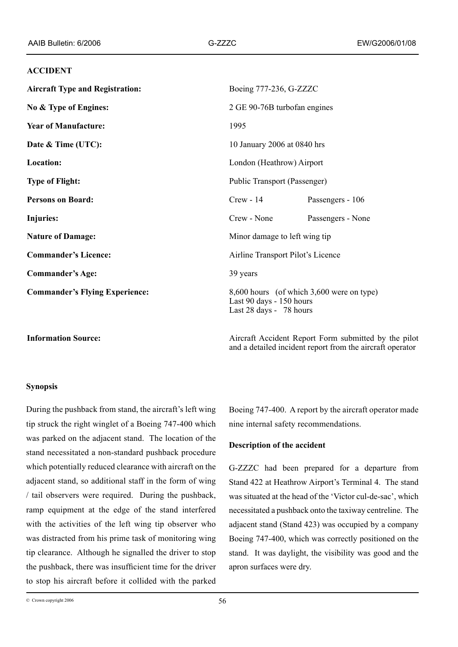#### **ACCIDENT**

| <b>Aircraft Type and Registration:</b> | Boeing 777-236, G-ZZZC                                                                           |                   |
|----------------------------------------|--------------------------------------------------------------------------------------------------|-------------------|
| No & Type of Engines:                  | 2 GE 90-76B turbofan engines                                                                     |                   |
| <b>Year of Manufacture:</b>            | 1995                                                                                             |                   |
| Date & Time (UTC):                     | 10 January 2006 at 0840 hrs                                                                      |                   |
| Location:                              | London (Heathrow) Airport                                                                        |                   |
| <b>Type of Flight:</b>                 | Public Transport (Passenger)                                                                     |                   |
| <b>Persons on Board:</b>               | $Crew - 14$                                                                                      | Passengers - 106  |
| Injuries:                              | Crew - None                                                                                      | Passengers - None |
| <b>Nature of Damage:</b>               | Minor damage to left wing tip                                                                    |                   |
| <b>Commander's Licence:</b>            | Airline Transport Pilot's Licence                                                                |                   |
| <b>Commander's Age:</b>                | 39 years                                                                                         |                   |
| <b>Commander's Flying Experience:</b>  | 8,600 hours (of which 3,600 were on type)<br>Last 90 days - 150 hours<br>Last 28 days - 78 hours |                   |

**Information Source:** Aircraft Accident Report Form submitted by the pilot and a detailed incident report from the aircraft operator

#### **Synopsis**

During the pushback from stand, the aircraft's left wing tip struck the right winglet of a Boeing 747-400 which was parked on the adjacent stand. The location of the stand necessitated a non-standard pushback procedure which potentially reduced clearance with aircraft on the adjacent stand, so additional staff in the form of wing / tail observers were required. During the pushback, ramp equipment at the edge of the stand interfered with the activities of the left wing tip observer who was distracted from his prime task of monitoring wing tip clearance. Although he signalled the driver to stop the pushback, there was insufficient time for the driver to stop his aircraft before it collided with the parked

Boeing 747‑400. A report by the aircraft operator made nine internal safety recommendations.

## **Description of the accident**

G-ZZZC had been prepared for a departure from Stand 422 at Heathrow Airport's Terminal 4. The stand was situated at the head of the 'Victor cul-de-sac', which necessitated a pushback onto the taxiway centreline. The adjacent stand (Stand 423) was occupied by a company Boeing 747-400, which was correctly positioned on the stand. It was daylight, the visibility was good and the apron surfaces were dry.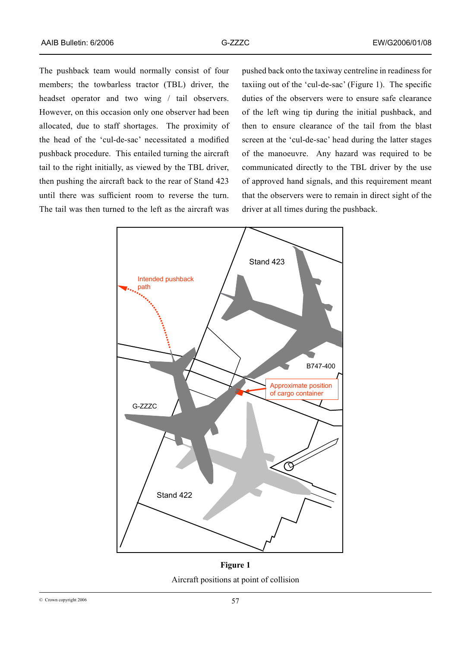The pushback team would normally consist of four members; the towbarless tractor (TBL) driver, the headset operator and two wing / tail observers. However, on this occasion only one observer had been allocated, due to staff shortages. The proximity of the head of the 'cul‑de‑sac' necessitated a modified pushback procedure. This entailed turning the aircraft tail to the right initially, as viewed by the TBL driver, then pushing the aircraft back to the rear of Stand 423 until there was sufficient room to reverse the turn. The tail was then turned to the left as the aircraft was

pushed back onto the taxiway centreline in readiness for taxiing out of the 'cul-de-sac' (Figure 1). The specific duties of the observers were to ensure safe clearance of the left wing tip during the initial pushback, and then to ensure clearance of the tail from the blast screen at the 'cul-de-sac' head during the latter stages of the manoeuvre. Any hazard was required to be communicated directly to the TBL driver by the use of approved hand signals, and this requirement meant that the observers were to remain in direct sight of the driver at all times during the pushback.



Figure 1. Aircraft positions at point of collision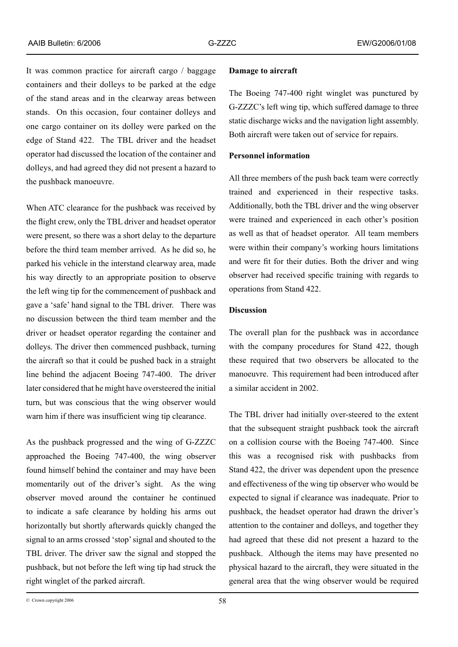It was common practice for aircraft cargo / baggage containers and their dolleys to be parked at the edge of the stand areas and in the clearway areas between stands. On this occasion, four container dolleys and one cargo container on its dolley were parked on the edge of Stand 422. The TBL driver and the headset operator had discussed the location of the container and dolleys, and had agreed they did not present a hazard to the pushback manoeuvre.

When ATC clearance for the pushback was received by the flight crew, only the TBL driver and headset operator were present, so there was a short delay to the departure before the third team member arrived. As he did so, he parked his vehicle in the interstand clearway area, made his way directly to an appropriate position to observe the left wing tip for the commencement of pushback and gave a 'safe' hand signal to the TBL driver. There was no discussion between the third team member and the driver or headset operator regarding the container and dolleys. The driver then commenced pushback, turning the aircraft so that it could be pushed back in a straight line behind the adjacent Boeing 747-400. The driver later considered that he might have oversteered the initial turn, but was conscious that the wing observer would warn him if there was insufficient wing tip clearance.

As the pushback progressed and the wing of G-ZZZC approached the Boeing 747-400, the wing observer found himself behind the container and may have been momentarily out of the driver's sight. As the wing observer moved around the container he continued to indicate a safe clearance by holding his arms out horizontally but shortly afterwards quickly changed the signal to an arms crossed 'stop' signal and shouted to the TBL driver. The driver saw the signal and stopped the pushback, but not before the left wing tip had struck the right winglet of the parked aircraft.

#### **Damage to aircraft**

The Boeing 747-400 right winglet was punctured by G‑ZZZC's left wing tip, which suffered damage to three static discharge wicks and the navigation light assembly. Both aircraft were taken out of service for repairs.

## **Personnel information**

All three members of the push back team were correctly trained and experienced in their respective tasks. Additionally, both the TBL driver and the wing observer were trained and experienced in each other's position as well as that of headset operator. All team members were within their company's working hours limitations and were fit for their duties. Both the driver and wing observer had received specific training with regards to operations from Stand 422.

## **Discussion**

The overall plan for the pushback was in accordance with the company procedures for Stand 422, though these required that two observers be allocated to the manoeuvre. This requirement had been introduced after a similar accident in 2002.

The TBL driver had initially over-steered to the extent that the subsequent straight pushback took the aircraft on a collision course with the Boeing 747-400. Since this was a recognised risk with pushbacks from Stand 422, the driver was dependent upon the presence and effectiveness of the wing tip observer who would be expected to signal if clearance was inadequate. Prior to pushback, the headset operator had drawn the driver's attention to the container and dolleys, and together they had agreed that these did not present a hazard to the pushback. Although the items may have presented no physical hazard to the aircraft, they were situated in the general area that the wing observer would be required